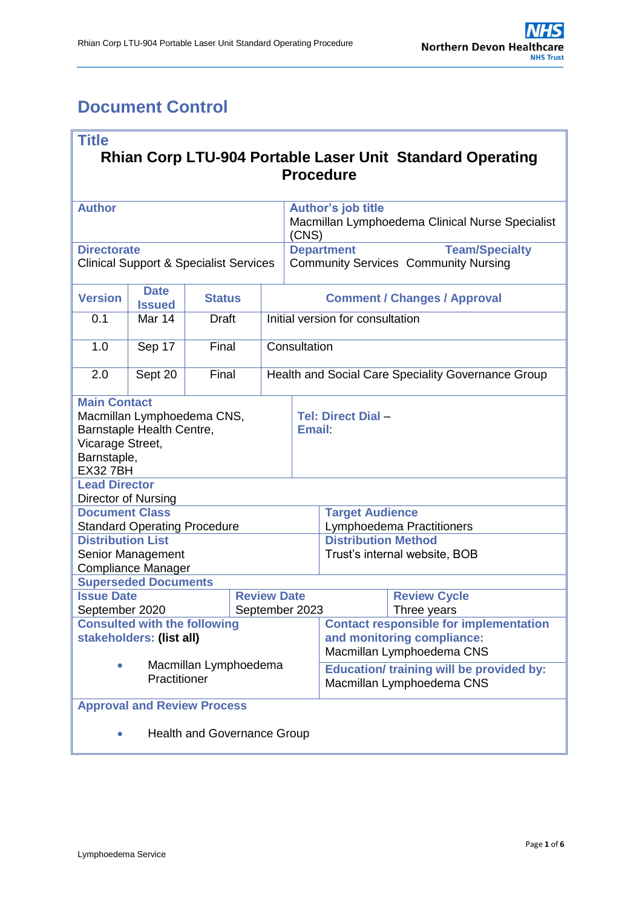# <span id="page-0-0"></span>**Document Control**

| <b>Title</b>                                                                                                                        |                                     |               |  |                                                    |                                                                              |                                             |  |  |  |
|-------------------------------------------------------------------------------------------------------------------------------------|-------------------------------------|---------------|--|----------------------------------------------------|------------------------------------------------------------------------------|---------------------------------------------|--|--|--|
| Rhian Corp LTU-904 Portable Laser Unit Standard Operating<br><b>Procedure</b>                                                       |                                     |               |  |                                                    |                                                                              |                                             |  |  |  |
| <b>Author</b>                                                                                                                       |                                     |               |  |                                                    | <b>Author's job title</b>                                                    |                                             |  |  |  |
|                                                                                                                                     |                                     |               |  |                                                    | Macmillan Lymphoedema Clinical Nurse Specialist<br>(CNS)                     |                                             |  |  |  |
| <b>Directorate</b>                                                                                                                  |                                     |               |  |                                                    | <b>Department</b>                                                            | <b>Team/Specialty</b>                       |  |  |  |
| <b>Clinical Support &amp; Specialist Services</b>                                                                                   |                                     |               |  |                                                    |                                                                              | <b>Community Services Community Nursing</b> |  |  |  |
| <b>Version</b>                                                                                                                      | <b>Date</b><br><b>Issued</b>        | <b>Status</b> |  | <b>Comment / Changes / Approval</b>                |                                                                              |                                             |  |  |  |
| 0.1                                                                                                                                 | Mar 14                              | <b>Draft</b>  |  | Initial version for consultation                   |                                                                              |                                             |  |  |  |
| 1.0                                                                                                                                 | Sep 17                              | Final         |  | Consultation                                       |                                                                              |                                             |  |  |  |
| 2.0                                                                                                                                 | Sept 20                             | Final         |  | Health and Social Care Speciality Governance Group |                                                                              |                                             |  |  |  |
| <b>Main Contact</b><br>Macmillan Lymphoedema CNS,<br>Barnstaple Health Centre,<br>Vicarage Street,<br>Barnstaple,<br><b>EX327BH</b> |                                     |               |  |                                                    | Tel: Direct Dial-<br><b>Email:</b>                                           |                                             |  |  |  |
| <b>Lead Director</b><br><b>Director of Nursing</b>                                                                                  |                                     |               |  |                                                    |                                                                              |                                             |  |  |  |
| <b>Document Class</b>                                                                                                               |                                     |               |  |                                                    | <b>Target Audience</b>                                                       |                                             |  |  |  |
| <b>Distribution List</b>                                                                                                            | <b>Standard Operating Procedure</b> |               |  |                                                    | Lymphoedema Practitioners<br><b>Distribution Method</b>                      |                                             |  |  |  |
|                                                                                                                                     | Senior Management                   |               |  |                                                    | Trust's internal website, BOB                                                |                                             |  |  |  |
|                                                                                                                                     | Compliance Manager                  |               |  |                                                    |                                                                              |                                             |  |  |  |
|                                                                                                                                     | <b>Superseded Documents</b>         |               |  |                                                    |                                                                              |                                             |  |  |  |
| <b>Issue Date</b><br><b>Review Date</b><br>September 2020                                                                           |                                     |               |  |                                                    | <b>Review Cycle</b><br>Three years                                           |                                             |  |  |  |
| September 2023<br><b>Consulted with the following</b>                                                                               |                                     |               |  |                                                    | <b>Contact responsible for implementation</b>                                |                                             |  |  |  |
|                                                                                                                                     | stakeholders: (list all)            |               |  |                                                    | and monitoring compliance:<br>Macmillan Lymphoedema CNS                      |                                             |  |  |  |
| Macmillan Lymphoedema<br>Practitioner                                                                                               |                                     |               |  |                                                    | <b>Education/ training will be provided by:</b><br>Macmillan Lymphoedema CNS |                                             |  |  |  |
| <b>Approval and Review Process</b>                                                                                                  |                                     |               |  |                                                    |                                                                              |                                             |  |  |  |
| <b>Health and Governance Group</b>                                                                                                  |                                     |               |  |                                                    |                                                                              |                                             |  |  |  |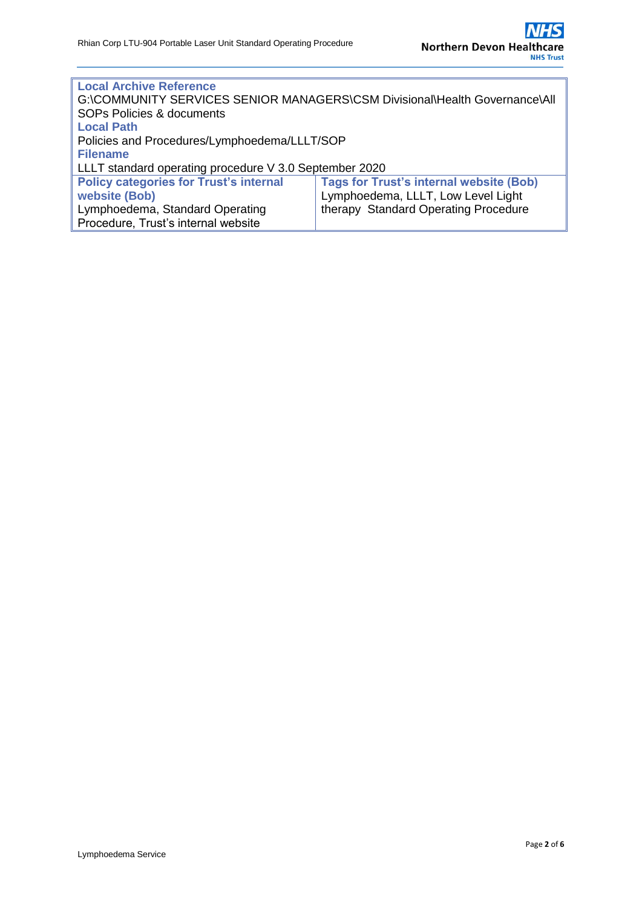| <b>Local Archive Reference</b>                                             |                                                |  |  |  |  |
|----------------------------------------------------------------------------|------------------------------------------------|--|--|--|--|
| G:\COMMUNITY SERVICES SENIOR MANAGERS\CSM Divisional\Health Governance\All |                                                |  |  |  |  |
| <b>SOPs Policies &amp; documents</b>                                       |                                                |  |  |  |  |
| <b>Local Path</b>                                                          |                                                |  |  |  |  |
| Policies and Procedures/Lymphoedema/LLLT/SOP                               |                                                |  |  |  |  |
| <b>Filename</b>                                                            |                                                |  |  |  |  |
| LLLT standard operating procedure V 3.0 September 2020                     |                                                |  |  |  |  |
| <b>Policy categories for Trust's internal</b>                              | <b>Tags for Trust's internal website (Bob)</b> |  |  |  |  |
| website (Bob)                                                              | Lymphoedema, LLLT, Low Level Light             |  |  |  |  |
| Lymphoedema, Standard Operating                                            | therapy Standard Operating Procedure           |  |  |  |  |
| Procedure, Trust's internal website                                        |                                                |  |  |  |  |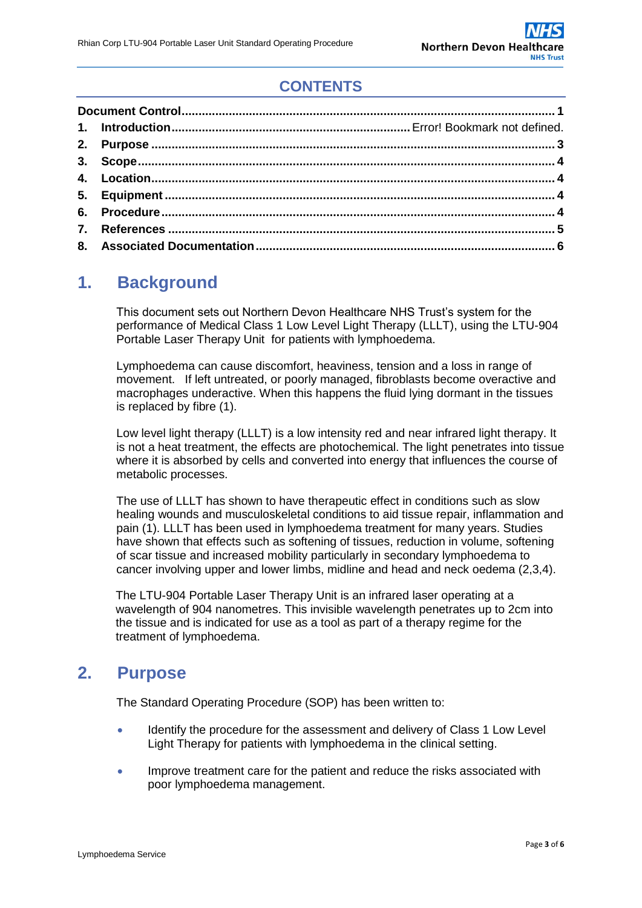# **CONTENTS**

# **1. Background**

This document sets out Northern Devon Healthcare NHS Trust's system for the performance of Medical Class 1 Low Level Light Therapy (LLLT), using the LTU-904 Portable Laser Therapy Unit for patients with lymphoedema.

Lymphoedema can cause discomfort, heaviness, tension and a loss in range of movement. If left untreated, or poorly managed, fibroblasts become overactive and macrophages underactive. When this happens the fluid lying dormant in the tissues is replaced by fibre (1).

Low level light therapy (LLLT) is a low intensity red and near infrared light therapy. It is not a heat treatment, the effects are photochemical. The light penetrates into tissue where it is absorbed by cells and converted into energy that influences the course of metabolic processes.

The use of LLLT has shown to have therapeutic effect in conditions such as slow healing wounds and musculoskeletal conditions to aid tissue repair, inflammation and pain (1). LLLT has been used in lymphoedema treatment for many years. Studies have shown that effects such as softening of tissues, reduction in volume, softening of scar tissue and increased mobility particularly in secondary lymphoedema to cancer involving upper and lower limbs, midline and head and neck oedema (2,3,4).

The LTU-904 Portable Laser Therapy Unit is an infrared laser operating at a wavelength of 904 nanometres. This invisible wavelength penetrates up to 2cm into the tissue and is indicated for use as a tool as part of a therapy regime for the treatment of lymphoedema.

## <span id="page-2-0"></span>**2. Purpose**

The Standard Operating Procedure (SOP) has been written to:

- Identify the procedure for the assessment and delivery of Class 1 Low Level Light Therapy for patients with lymphoedema in the clinical setting.
- Improve treatment care for the patient and reduce the risks associated with poor lymphoedema management.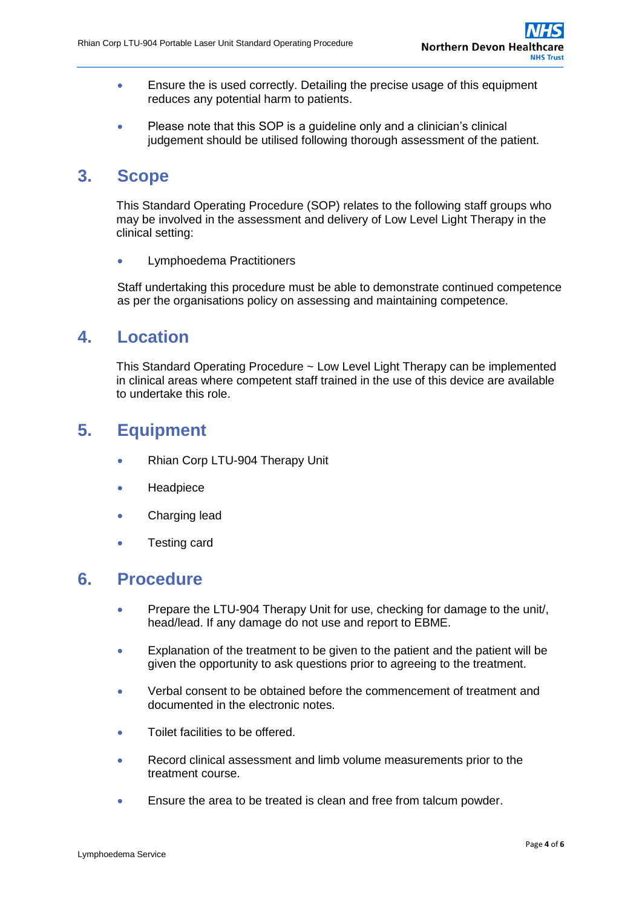- **Ensure the is used correctly. Detailing the precise usage of this equipment** reduces any potential harm to patients.
- Please note that this SOP is a quideline only and a clinician's clinical judgement should be utilised following thorough assessment of the patient.

#### <span id="page-3-0"></span>**3. Scope**

This Standard Operating Procedure (SOP) relates to the following staff groups who may be involved in the assessment and delivery of Low Level Light Therapy in the clinical setting:

**•** Lymphoedema Practitioners

Staff undertaking this procedure must be able to demonstrate continued competence as per the organisations policy on assessing and maintaining competence.

## <span id="page-3-1"></span>**4. Location**

This Standard Operating Procedure ~ Low Level Light Therapy can be implemented in clinical areas where competent staff trained in the use of this device are available to undertake this role.

# <span id="page-3-2"></span>**5. Equipment**

- Rhian Corp LTU-904 Therapy Unit
- **Headpiece**
- **•** Charging lead
- Testing card

#### <span id="page-3-3"></span>**6. Procedure**

- **•** Prepare the LTU-904 Therapy Unit for use, checking for damage to the unit/, head/lead. If any damage do not use and report to EBME.
- Explanation of the treatment to be given to the patient and the patient will be given the opportunity to ask questions prior to agreeing to the treatment.
- Verbal consent to be obtained before the commencement of treatment and documented in the electronic notes.
- Toilet facilities to be offered.
- Record clinical assessment and limb volume measurements prior to the treatment course.
- Ensure the area to be treated is clean and free from talcum powder.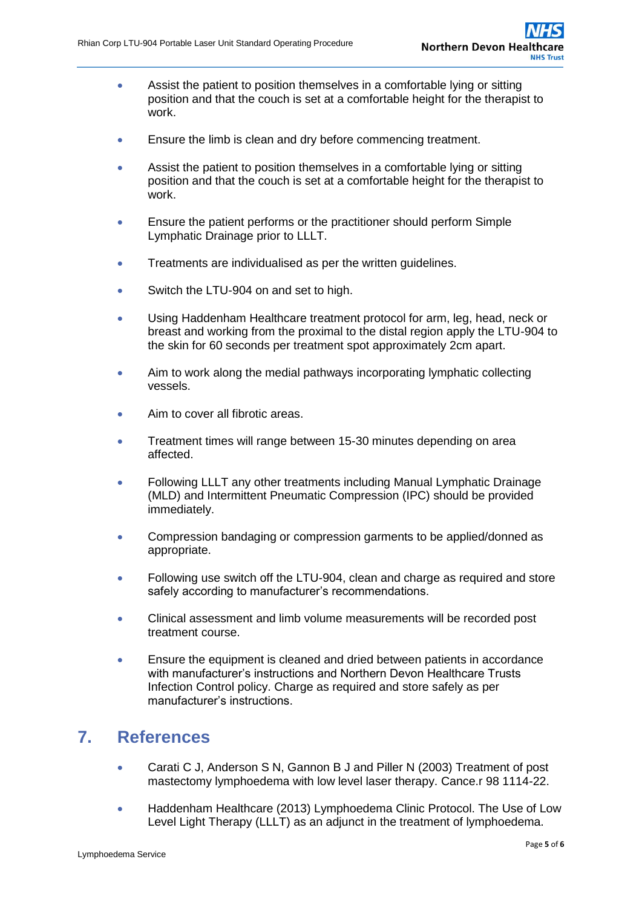- Assist the patient to position themselves in a comfortable lying or sitting position and that the couch is set at a comfortable height for the therapist to work.
- **Ensure the limb is clean and dry before commencing treatment.**
- Assist the patient to position themselves in a comfortable lying or sitting position and that the couch is set at a comfortable height for the therapist to work.
- Ensure the patient performs or the practitioner should perform Simple Lymphatic Drainage prior to LLLT.
- Treatments are individualised as per the written quidelines.
- Switch the LTU-904 on and set to high.
- Using Haddenham Healthcare treatment protocol for arm, leg, head, neck or breast and working from the proximal to the distal region apply the LTU-904 to the skin for 60 seconds per treatment spot approximately 2cm apart.
- Aim to work along the medial pathways incorporating lymphatic collecting vessels.
- Aim to cover all fibrotic areas.
- Treatment times will range between 15-30 minutes depending on area affected.
- Following LLLT any other treatments including Manual Lymphatic Drainage (MLD) and Intermittent Pneumatic Compression (IPC) should be provided immediately.
- Compression bandaging or compression garments to be applied/donned as appropriate.
- Following use switch off the LTU-904, clean and charge as required and store safely according to manufacturer's recommendations.
- Clinical assessment and limb volume measurements will be recorded post treatment course.
- Ensure the equipment is cleaned and dried between patients in accordance with manufacturer's instructions and Northern Devon Healthcare Trusts Infection Control policy. Charge as required and store safely as per manufacturer's instructions.

## <span id="page-4-0"></span>**7. References**

- Carati C J, Anderson S N, Gannon B J and Piller N (2003) Treatment of post mastectomy lymphoedema with low level laser therapy. Cance.r 98 1114-22.
- Haddenham Healthcare (2013) Lymphoedema Clinic Protocol. The Use of Low Level Light Therapy (LLLT) as an adjunct in the treatment of lymphoedema.